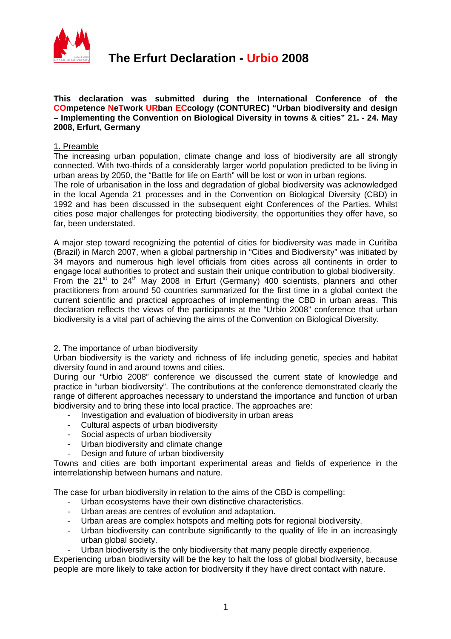

#### **This declaration was submitted during the International Conference of the COmpetence NeTwork URban ECcology (CONTUREC) "Urban biodiversity and design – Implementing the Convention on Biological Diversity in towns & cities" 21. - 24. May 2008, Erfurt, Germany**

## 1. Preamble

The increasing urban population, climate change and loss of biodiversity are all strongly connected. With two-thirds of a considerably larger world population predicted to be living in urban areas by 2050, the "Battle for life on Earth" will be lost or won in urban regions.

The role of urbanisation in the loss and degradation of global biodiversity was acknowledged in the local Agenda 21 processes and in the Convention on Biological Diversity (CBD) in 1992 and has been discussed in the subsequent eight Conferences of the Parties. Whilst cities pose major challenges for protecting biodiversity, the opportunities they offer have, so far, been understated.

A major step toward recognizing the potential of cities for biodiversity was made in Curitiba (Brazil) in March 2007, when a global partnership in "Cities and Biodiversity" was initiated by 34 mayors and numerous high level officials from cities across all continents in order to engage local authorities to protect and sustain their unique contribution to global biodiversity. From the  $21^{st}$  to  $24^{th}$  May 2008 in Erfurt (Germany) 400 scientists, planners and other practitioners from around 50 countries summarized for the first time in a global context the current scientific and practical approaches of implementing the CBD in urban areas. This declaration reflects the views of the participants at the "Urbio 2008" conference that urban biodiversity is a vital part of achieving the aims of the Convention on Biological Diversity.

### 2. The importance of urban biodiversity

Urban biodiversity is the variety and richness of life including genetic, species and habitat diversity found in and around towns and cities.

During our "Urbio 2008" conference we discussed the current state of knowledge and practice in "urban biodiversity". The contributions at the conference demonstrated clearly the range of different approaches necessary to understand the importance and function of urban biodiversity and to bring these into local practice. The approaches are:

- Investigation and evaluation of biodiversity in urban areas
- Cultural aspects of urban biodiversity
- Social aspects of urban biodiversity
- Urban biodiversity and climate change
- Design and future of urban biodiversity

Towns and cities are both important experimental areas and fields of experience in the interrelationship between humans and nature.

The case for urban biodiversity in relation to the aims of the CBD is compelling:

- Urban ecosystems have their own distinctive characteristics.
- Urban areas are centres of evolution and adaptation.
- Urban areas are complex hotspots and melting pots for regional biodiversity.
- Urban biodiversity can contribute significantly to the quality of life in an increasingly urban global society.
- Urban biodiversity is the only biodiversity that many people directly experience.

Experiencing urban biodiversity will be the key to halt the loss of global biodiversity, because people are more likely to take action for biodiversity if they have direct contact with nature.